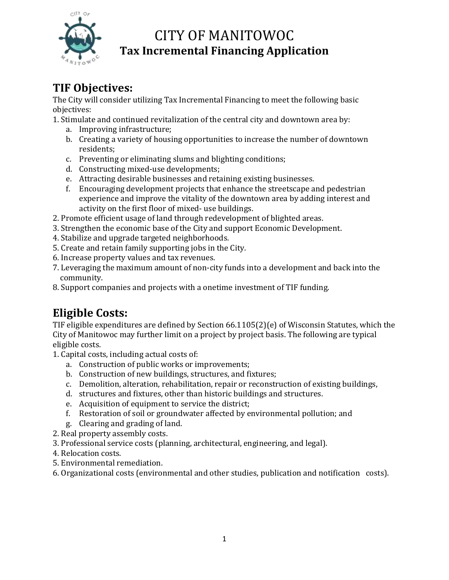

### **TIF Objectives:**

The City will consider utilizing Tax Incremental Financing to meet the following basic objectives:

1. Stimulate and continued revitalization of the central city and downtown area by:

- a. Improving infrastructure;
- b. Creating a variety of housing opportunities to increase the number of downtown residents;
- c. Preventing or eliminating slums and blighting conditions;
- d. Constructing mixed-use developments;
- e. Attracting desirable businesses and retaining existing businesses.
- f. Encouraging development projects that enhance the streetscape and pedestrian experience and improve the vitality of the downtown area by adding interest and activity on the first floor of mixed- use buildings.
- 2. Promote efficient usage of land through redevelopment of blighted areas.
- 3. Strengthen the economic base of the City and support Economic Development.
- 4. Stabilize and upgrade targeted neighborhoods.
- 5. Create and retain family supporting jobs in the City.
- 6. Increase property values and tax revenues.
- 7. Leveraging the maximum amount of non-city funds into a development and back into the community.
- 8. Support companies and projects with a onetime investment of TIF funding.

## **Eligible Costs:**

TIF eligible expenditures are defined by Section 66.1105(2)(e) of Wisconsin Statutes, which the City of Manitowoc may further limit on a project by project basis. The following are typical eligible costs.

- 1. Capital costs, including actual costs of:
	- a. Construction of public works or improvements;
	- b. Construction of new buildings, structures, and fixtures;
	- c. Demolition, alteration, rehabilitation, repair or reconstruction of existing buildings,
	- d. structures and fixtures, other than historic buildings and structures.
	- e. Acquisition of equipment to service the district;
	- f. Restoration of soil or groundwater affected by environmental pollution; and
	- g. Clearing and grading of land.
- 2. Real property assembly costs.
- 3. Professional service costs (planning, architectural, engineering, and legal).
- 4. Relocation costs.
- 5. Environmental remediation.
- 6. Organizational costs (environmental and other studies, publication and notification costs).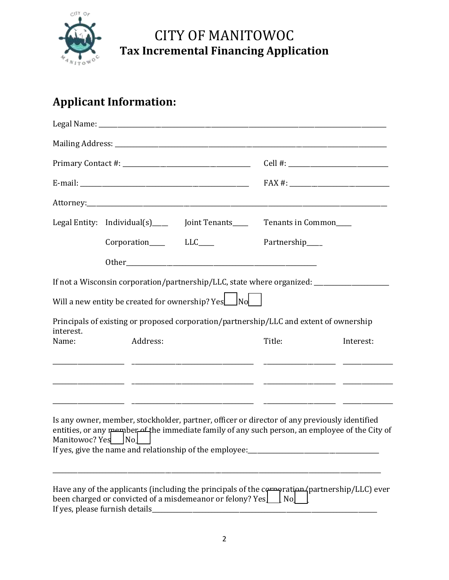

## **Applicant Information:**

|                   | Legal Entity: Individual(s) _____ Joint Tenants____                                                                                                                              |  | Tenants in Common |                                                                                                |
|-------------------|----------------------------------------------------------------------------------------------------------------------------------------------------------------------------------|--|-------------------|------------------------------------------------------------------------------------------------|
|                   |                                                                                                                                                                                  |  | Partnership____   |                                                                                                |
|                   |                                                                                                                                                                                  |  |                   |                                                                                                |
|                   | If not a Wisconsin corporation/partnership/LLC, state where organized: _____________________________                                                                             |  |                   |                                                                                                |
|                   | Will a new entity be created for ownership? $Yes \_ No \_ No$                                                                                                                    |  |                   |                                                                                                |
| interest.         | Principals of existing or proposed corporation/partnership/LLC and extent of ownership                                                                                           |  |                   |                                                                                                |
| Name:             | Address:                                                                                                                                                                         |  | Title:            | Interest:                                                                                      |
|                   |                                                                                                                                                                                  |  |                   |                                                                                                |
| Manitowoc? Yes No | Is any owner, member, stockholder, partner, officer or director of any previously identified<br>If yes, give the name and relationship of the employee:_________________________ |  |                   | entities, or any member of the immediate family of any such person, an employee of the City of |
|                   | been charged or convicted of a misdemeanor or felony? Yes<br>If yes, please furnish details                                                                                      |  | $\lfloor$ No      | Have any of the applicants (including the principals of the corporation (partnership/LLC) ever |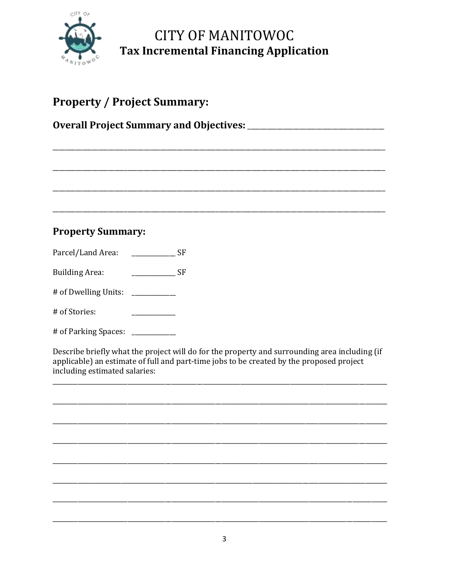

## **Property / Project Summary:**

#### **Property Summary:**

 $SF$ Parcel/Land Area:

 $\frac{1}{1}$  SF **Building Area:** 

# of Dwelling Units: \_\_\_\_\_\_\_\_\_

# of Stories:

# of Parking Spaces: \_\_\_\_\_\_\_\_\_

Describe briefly what the project will do for the property and surrounding area including (if applicable) an estimate of full and part-time jobs to be created by the proposed project including estimated salaries: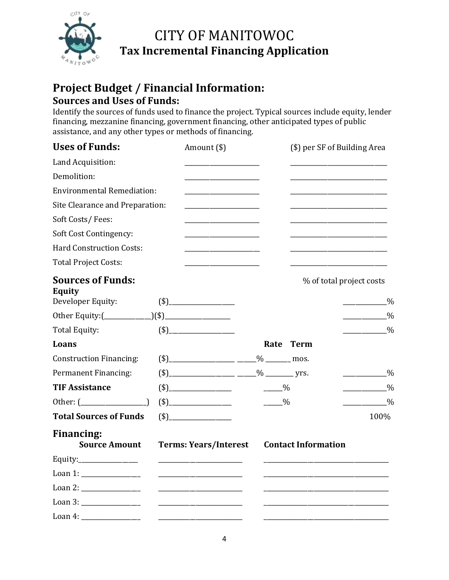

### **Project Budget / Financial Information: Sources and Uses of Funds:**

Identify the sources of funds used to finance the project. Typical sources include equity, lender financing, mezzanine financing, government financing, other anticipated types of public assistance, and any other types or methods of financing.

| <b>Uses of Funds:</b>                     | Amount (\$)                                                                                                                                                                                                                                            |               | (\$) per SF of Building Area |                    |
|-------------------------------------------|--------------------------------------------------------------------------------------------------------------------------------------------------------------------------------------------------------------------------------------------------------|---------------|------------------------------|--------------------|
| Land Acquisition:                         |                                                                                                                                                                                                                                                        |               |                              |                    |
| Demolition:                               |                                                                                                                                                                                                                                                        |               |                              |                    |
| <b>Environmental Remediation:</b>         |                                                                                                                                                                                                                                                        |               |                              |                    |
| Site Clearance and Preparation:           |                                                                                                                                                                                                                                                        |               |                              |                    |
| Soft Costs/Fees:                          | $\mathcal{L}^{\mathcal{L}}(\mathcal{L}^{\mathcal{L}})$ and the contract of the contract of the contract of the contract of the contract of the contract of the contract of the contract of the contract of the contract of the contract of the contrac |               |                              |                    |
| <b>Soft Cost Contingency:</b>             |                                                                                                                                                                                                                                                        |               |                              |                    |
| <b>Hard Construction Costs:</b>           |                                                                                                                                                                                                                                                        |               |                              |                    |
| <b>Total Project Costs:</b>               |                                                                                                                                                                                                                                                        |               |                              |                    |
| <b>Sources of Funds:</b><br><b>Equity</b> |                                                                                                                                                                                                                                                        |               | % of total project costs     |                    |
| Developer Equity:                         | $(\$)$                                                                                                                                                                                                                                                 |               |                              | $\frac{0}{0}$      |
|                                           |                                                                                                                                                                                                                                                        |               |                              | $\frac{0}{0}$      |
| <b>Total Equity:</b>                      | $\left( \text{\$}\right)$                                                                                                                                                                                                                              |               |                              | $\frac{0}{0}$      |
| Loans                                     |                                                                                                                                                                                                                                                        |               | Rate Term                    |                    |
| <b>Construction Financing:</b>            | $(*)$ mos.                                                                                                                                                                                                                                             |               |                              |                    |
| Permanent Financing:                      | $(*)$ yrs.                                                                                                                                                                                                                                             |               |                              | $\frac{0}{0}$      |
| <b>TIF Assistance</b>                     |                                                                                                                                                                                                                                                        | $-$ %         |                              | $\frac{0}{0}$      |
| Other: $(\_\_\_\_\_\_\_\_\_)\$            |                                                                                                                                                                                                                                                        | $\frac{0}{2}$ |                              | $\sim$ $\sim$ $\%$ |
| <b>Total Sources of Funds</b>             |                                                                                                                                                                                                                                                        |               |                              | 100%               |
| <b>Financing:</b><br><b>Source Amount</b> | <b>Terms: Years/Interest</b>                                                                                                                                                                                                                           |               | <b>Contact Information</b>   |                    |
| Equity: $\frac{1}{2}$                     |                                                                                                                                                                                                                                                        |               |                              |                    |
|                                           | <u> 2000 - Jan James James Jan James James Jan James James Jan James James Jan Jan Jan James Jan Jan Jan Jan Jan</u>                                                                                                                                   |               |                              |                    |
|                                           |                                                                                                                                                                                                                                                        |               |                              |                    |
| Loan 3: __________________                |                                                                                                                                                                                                                                                        |               |                              |                    |
| Loan 4: $\frac{1}{2}$                     |                                                                                                                                                                                                                                                        |               |                              |                    |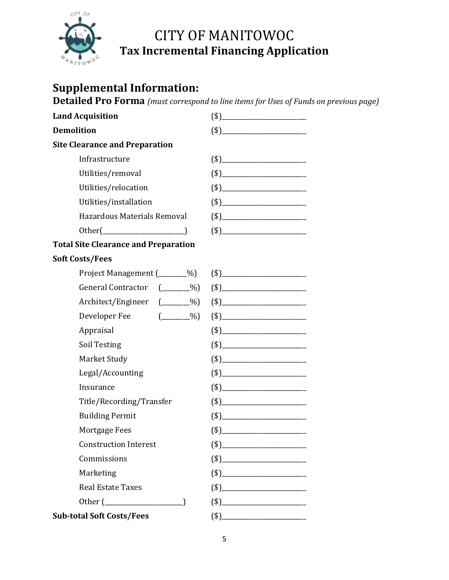

### **Supplemental Information:**

**Detailed Pro Forma** *(must correspond to line items for Uses of Funds on previous page)*

| <b>Land Acquisition</b>                                         |        |
|-----------------------------------------------------------------|--------|
| <b>Demolition</b>                                               | $(\$)$ |
| <b>Site Clearance and Preparation</b>                           |        |
| Infrastructure                                                  |        |
| Utilities/removal                                               |        |
| Utilities/relocation                                            |        |
| Utilities/installation                                          | $(\$)$ |
| Hazardous Materials Removal                                     |        |
|                                                                 | $(\$)$ |
| <b>Total Site Clearance and Preparation</b>                     |        |
| <b>Soft Costs/Fees</b>                                          |        |
| Project Management (______%)                                    |        |
| <b>General Contractor</b><br>$(\_\_\_9)$                        |        |
| Architect/Engineer (_____%)                                     |        |
| $\begin{pmatrix} 0 & 0 \\ 0 & 0 \end{pmatrix}$<br>Developer Fee |        |
| Appraisal                                                       | $(\$)$ |
| Soil Testing                                                    |        |
| Market Study                                                    | $(*)$  |
| Legal/Accounting                                                |        |
| Insurance                                                       |        |
| Title/Recording/Transfer                                        |        |
| <b>Building Permit</b>                                          |        |
| Mortgage Fees                                                   |        |
| <b>Construction Interest</b>                                    |        |
| Commissions                                                     | $(\$)$ |
| Marketing                                                       |        |
| <b>Real Estate Taxes</b>                                        |        |
|                                                                 |        |
| <b>Sub-total Soft Costs/Fees</b>                                |        |